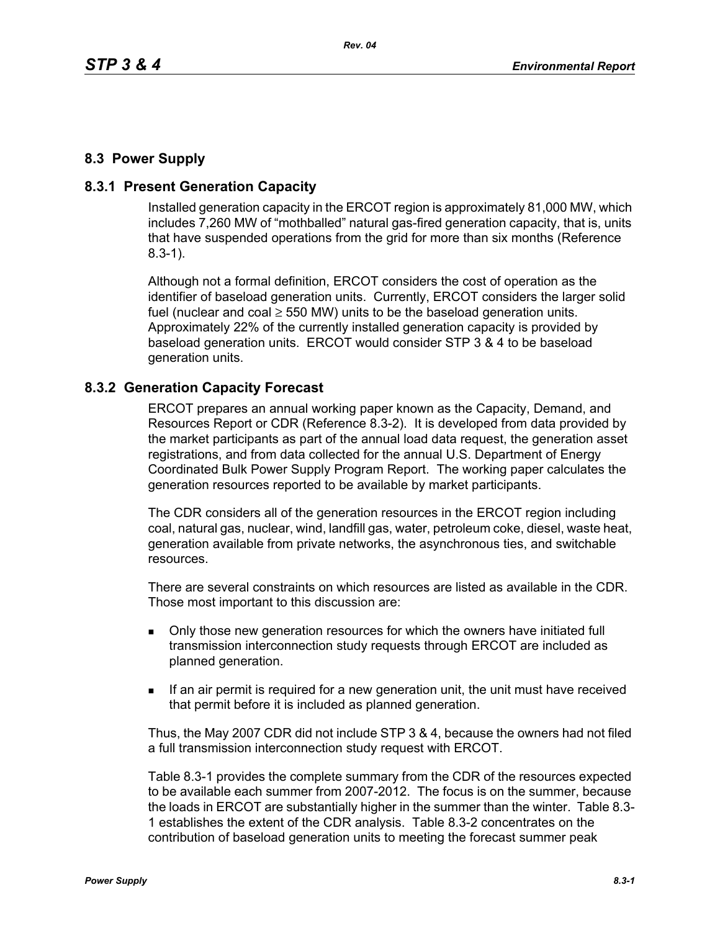# **8.3 Power Supply**

## **8.3.1 Present Generation Capacity**

Installed generation capacity in the ERCOT region is approximately 81,000 MW, which includes 7,260 MW of "mothballed" natural gas-fired generation capacity, that is, units that have suspended operations from the grid for more than six months (Reference 8.3-1).

Although not a formal definition, ERCOT considers the cost of operation as the identifier of baseload generation units. Currently, ERCOT considers the larger solid fuel (nuclear and coal  $\geq$  550 MW) units to be the baseload generation units. Approximately 22% of the currently installed generation capacity is provided by baseload generation units. ERCOT would consider STP 3 & 4 to be baseload generation units.

### **8.3.2 Generation Capacity Forecast**

ERCOT prepares an annual working paper known as the Capacity, Demand, and Resources Report or CDR (Reference 8.3-2). It is developed from data provided by the market participants as part of the annual load data request, the generation asset registrations, and from data collected for the annual U.S. Department of Energy Coordinated Bulk Power Supply Program Report. The working paper calculates the generation resources reported to be available by market participants.

The CDR considers all of the generation resources in the ERCOT region including coal, natural gas, nuclear, wind, landfill gas, water, petroleum coke, diesel, waste heat, generation available from private networks, the asynchronous ties, and switchable resources.

There are several constraints on which resources are listed as available in the CDR. Those most important to this discussion are:

- Only those new generation resources for which the owners have initiated full transmission interconnection study requests through ERCOT are included as planned generation.
- If an air permit is required for a new generation unit, the unit must have received that permit before it is included as planned generation.

Thus, the May 2007 CDR did not include STP 3 & 4, because the owners had not filed a full transmission interconnection study request with ERCOT.

Table 8.3-1 provides the complete summary from the CDR of the resources expected to be available each summer from 2007-2012. The focus is on the summer, because the loads in ERCOT are substantially higher in the summer than the winter. Table 8.3- 1 establishes the extent of the CDR analysis. Table 8.3-2 concentrates on the contribution of baseload generation units to meeting the forecast summer peak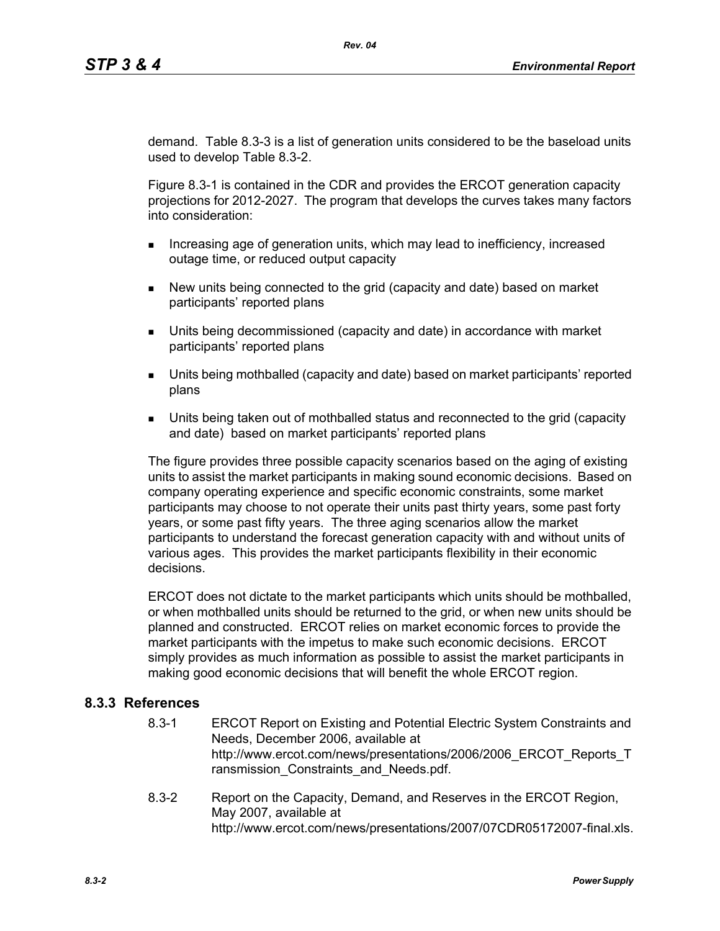demand. Table 8.3-3 is a list of generation units considered to be the baseload units used to develop Table 8.3-2.

Figure 8.3-1 is contained in the CDR and provides the ERCOT generation capacity projections for 2012-2027. The program that develops the curves takes many factors into consideration:

- **Increasing age of generation units, which may lead to inefficiency, increased** outage time, or reduced output capacity
- New units being connected to the grid (capacity and date) based on market participants' reported plans
- Units being decommissioned (capacity and date) in accordance with market participants' reported plans
- Units being mothballed (capacity and date) based on market participants' reported plans
- Units being taken out of mothballed status and reconnected to the grid (capacity and date) based on market participants' reported plans

The figure provides three possible capacity scenarios based on the aging of existing units to assist the market participants in making sound economic decisions. Based on company operating experience and specific economic constraints, some market participants may choose to not operate their units past thirty years, some past forty years, or some past fifty years. The three aging scenarios allow the market participants to understand the forecast generation capacity with and without units of various ages. This provides the market participants flexibility in their economic decisions.

ERCOT does not dictate to the market participants which units should be mothballed, or when mothballed units should be returned to the grid, or when new units should be planned and constructed. ERCOT relies on market economic forces to provide the market participants with the impetus to make such economic decisions. ERCOT simply provides as much information as possible to assist the market participants in making good economic decisions that will benefit the whole ERCOT region.

### **8.3.3 References**

- 8.3-1 ERCOT Report on Existing and Potential Electric System Constraints and Needs, December 2006, available at http://www.ercot.com/news/presentations/2006/2006\_ERCOT\_Reports\_T ransmission Constraints and Needs.pdf.
- 8.3-2 Report on the Capacity, Demand, and Reserves in the ERCOT Region, May 2007, available at http://www.ercot.com/news/presentations/2007/07CDR05172007-final.xls.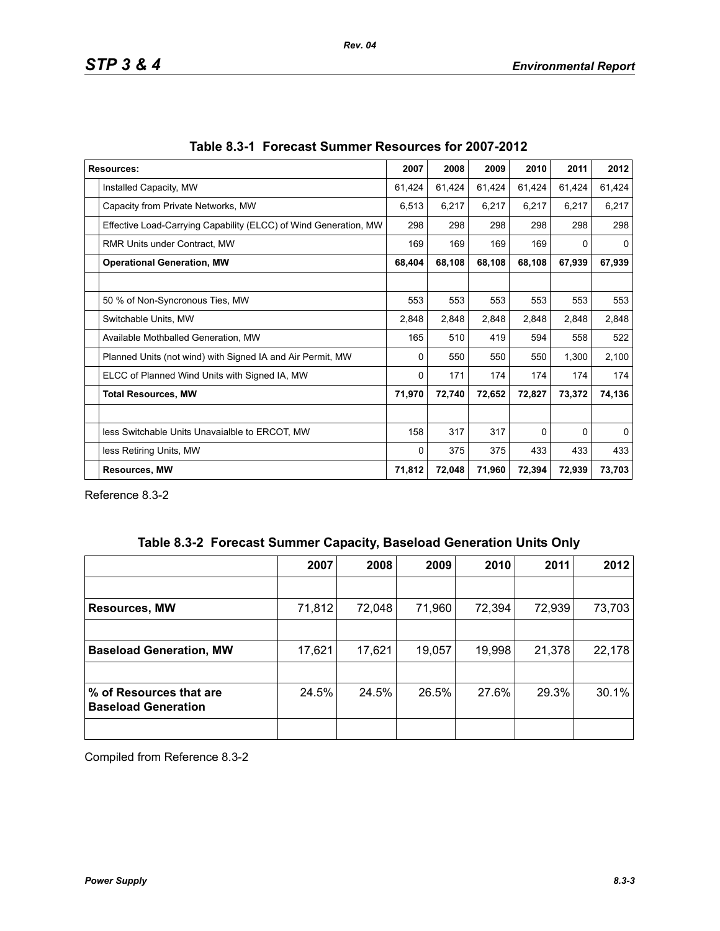| <b>Resources:</b>                                                |        | 2008   | 2009   | 2010     | 2011   | 2012         |
|------------------------------------------------------------------|--------|--------|--------|----------|--------|--------------|
| Installed Capacity, MW                                           |        | 61,424 | 61,424 | 61,424   | 61,424 | 61,424       |
| Capacity from Private Networks, MW                               | 6,513  | 6,217  | 6,217  | 6,217    | 6,217  | 6,217        |
| Effective Load-Carrying Capability (ELCC) of Wind Generation, MW | 298    | 298    | 298    | 298      | 298    | 298          |
| <b>RMR Units under Contract, MW</b>                              | 169    | 169    | 169    | 169      | 0      | 0            |
| <b>Operational Generation, MW</b>                                | 68,404 | 68,108 | 68,108 | 68,108   | 67,939 | 67,939       |
|                                                                  |        |        |        |          |        |              |
| 50 % of Non-Syncronous Ties, MW                                  | 553    | 553    | 553    | 553      | 553    | 553          |
| Switchable Units, MW                                             | 2,848  | 2,848  | 2,848  | 2,848    | 2,848  | 2,848        |
| Available Mothballed Generation, MW                              | 165    | 510    | 419    | 594      | 558    | 522          |
| Planned Units (not wind) with Signed IA and Air Permit, MW       | 0      | 550    | 550    | 550      | 1,300  | 2,100        |
| ELCC of Planned Wind Units with Signed IA, MW                    | 0      | 171    | 174    | 174      | 174    | 174          |
| <b>Total Resources, MW</b>                                       | 71,970 | 72,740 | 72,652 | 72,827   | 73,372 | 74,136       |
|                                                                  |        |        |        |          |        |              |
| less Switchable Units Unavaialble to ERCOT, MW                   | 158    | 317    | 317    | $\Omega$ | 0      | $\mathbf{0}$ |
| less Retiring Units, MW                                          | 0      | 375    | 375    | 433      | 433    | 433          |
| <b>Resources, MW</b>                                             | 71,812 | 72,048 | 71,960 | 72,394   | 72,939 | 73,703       |

Reference 8.3-2

|  | Table 8.3-2 Forecast Summer Capacity, Baseload Generation Units Only |  |  |  |  |
|--|----------------------------------------------------------------------|--|--|--|--|
|--|----------------------------------------------------------------------|--|--|--|--|

|                                                       | 2007   | 2008   | 2009   | 2010   | 2011   | 2012   |
|-------------------------------------------------------|--------|--------|--------|--------|--------|--------|
|                                                       |        |        |        |        |        |        |
| <b>Resources, MW</b>                                  | 71,812 | 72,048 | 71,960 | 72,394 | 72,939 | 73,703 |
|                                                       |        |        |        |        |        |        |
| <b>Baseload Generation, MW</b>                        | 17,621 | 17,621 | 19,057 | 19,998 | 21,378 | 22,178 |
|                                                       |        |        |        |        |        |        |
| % of Resources that are<br><b>Baseload Generation</b> | 24.5%  | 24.5%  | 26.5%  | 27.6%  | 29.3%  | 30.1%  |
|                                                       |        |        |        |        |        |        |

Compiled from Reference 8.3-2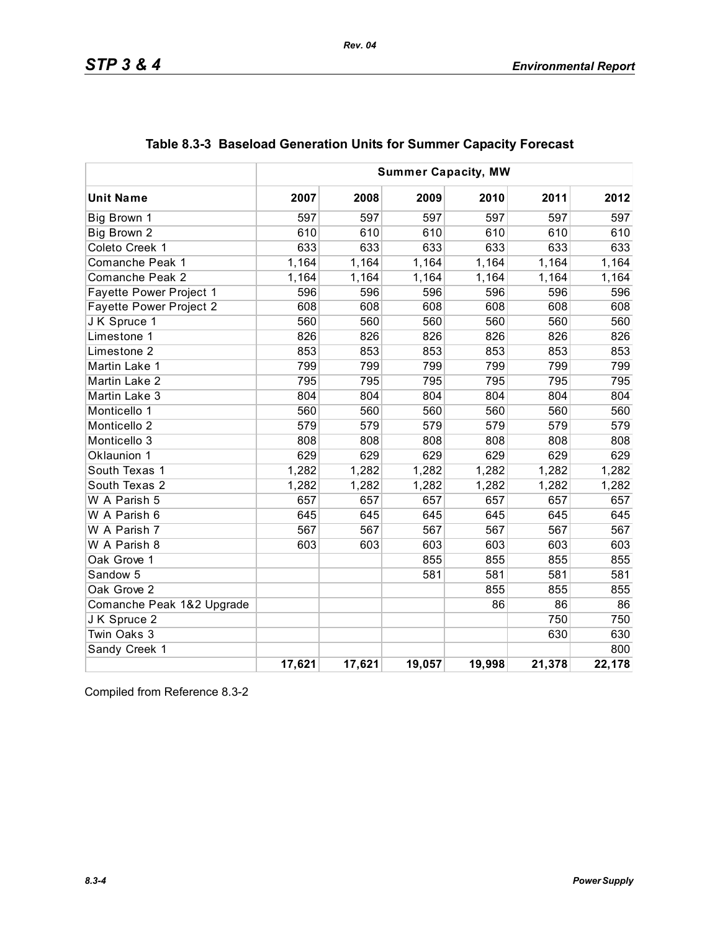| <b>Summer Capacity, MW</b>     |        |        |        |        |        |        |
|--------------------------------|--------|--------|--------|--------|--------|--------|
| <b>Unit Name</b>               | 2007   | 2008   | 2009   | 2010   | 2011   | 2012   |
| Big Brown 1                    | 597    | 597    | 597    | 597    | 597    | 597    |
| Big Brown 2                    | 610    | 610    | 610    | 610    | 610    | 610    |
| Coleto Creek 1                 | 633    | 633    | 633    | 633    | 633    | 633    |
| Comanche Peak 1                | 1,164  | 1,164  | 1,164  | 1,164  | 1,164  | 1,164  |
| Comanche Peak 2                | 1,164  | 1,164  | 1,164  | 1,164  | 1,164  | 1,164  |
| <b>Fayette Power Project 1</b> | 596    | 596    | 596    | 596    | 596    | 596    |
| Fayette Power Project 2        | 608    | 608    | 608    | 608    | 608    | 608    |
| J K Spruce 1                   | 560    | 560    | 560    | 560    | 560    | 560    |
| Limestone 1                    | 826    | 826    | 826    | 826    | 826    | 826    |
| Limestone 2                    | 853    | 853    | 853    | 853    | 853    | 853    |
| Martin Lake 1                  | 799    | 799    | 799    | 799    | 799    | 799    |
| Martin Lake 2                  | 795    | 795    | 795    | 795    | 795    | 795    |
| Martin Lake 3                  | 804    | 804    | 804    | 804    | 804    | 804    |
| Monticello 1                   | 560    | 560    | 560    | 560    | 560    | 560    |
| Monticello 2                   | 579    | 579    | 579    | 579    | 579    | 579    |
| Monticello 3                   | 808    | 808    | 808    | 808    | 808    | 808    |
| Oklaunion 1                    | 629    | 629    | 629    | 629    | 629    | 629    |
| South Texas 1                  | 1,282  | 1,282  | 1,282  | 1,282  | 1,282  | 1,282  |
| South Texas 2                  | 1,282  | 1,282  | 1,282  | 1,282  | 1,282  | 1,282  |
| W A Parish 5                   | 657    | 657    | 657    | 657    | 657    | 657    |
| W A Parish 6                   | 645    | 645    | 645    | 645    | 645    | 645    |
| W A Parish 7                   | 567    | 567    | 567    | 567    | 567    | 567    |
| W A Parish 8                   | 603    | 603    | 603    | 603    | 603    | 603    |
| Oak Grove 1                    |        |        | 855    | 855    | 855    | 855    |
| Sandow 5                       |        |        | 581    | 581    | 581    | 581    |
| Oak Grove 2                    |        |        |        | 855    | 855    | 855    |
| Comanche Peak 1&2 Upgrade      |        |        |        | 86     | 86     | 86     |
| J K Spruce 2                   |        |        |        |        | 750    | 750    |
| Twin Oaks 3                    |        |        |        |        | 630    | 630    |
| Sandy Creek 1                  |        |        |        |        |        | 800    |
|                                | 17,621 | 17,621 | 19,057 | 19,998 | 21,378 | 22,178 |

|  |  |  | Table 8.3-3 Baseload Generation Units for Summer Capacity Forecast |  |
|--|--|--|--------------------------------------------------------------------|--|
|--|--|--|--------------------------------------------------------------------|--|

Compiled from Reference 8.3-2